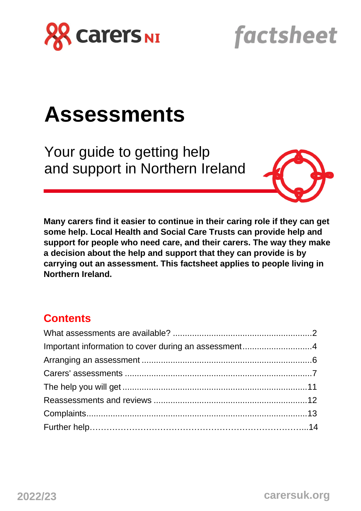

# factsheet

# **Assessments**

Your guide to getting help and support in Northern Ireland



**Many carers find it easier to continue in their caring role if they can get some help. Local Health and Social Care Trusts can provide help and support for people who need care, and their carers. The way they make a decision about the help and support that they can provide is by carrying out an assessment. This factsheet applies to people living in Northern Ireland.**

### **Contents**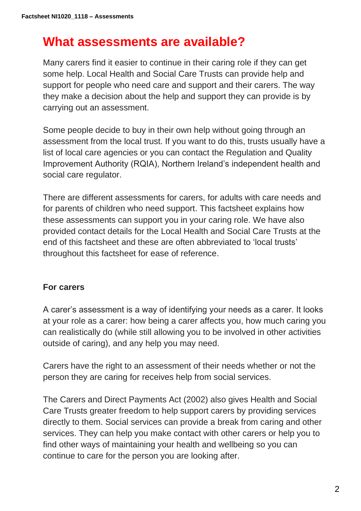### **What assessments are available?**

Many carers find it easier to continue in their caring role if they can get some help. Local Health and Social Care Trusts can provide help and support for people who need care and support and their carers. The way they make a decision about the help and support they can provide is by carrying out an assessment.

Some people decide to buy in their own help without going through an assessment from the local trust. If you want to do this, trusts usually have a list of local care agencies or you can contact the Regulation and Quality Improvement Authority (RQIA), Northern Ireland's independent health and social care regulator.

There are different assessments for carers, for adults with care needs and for parents of children who need support. This factsheet explains how these assessments can support you in your caring role. We have also provided contact details for the Local Health and Social Care Trusts at the end of this factsheet and these are often abbreviated to 'local trusts' throughout this factsheet for ease of reference.

### **For carers**

A carer's assessment is a way of identifying your needs as a carer. It looks at your role as a carer: how being a carer affects you, how much caring you can realistically do (while still allowing you to be involved in other activities outside of caring), and any help you may need.

Carers have the right to an assessment of their needs whether or not the person they are caring for receives help from social services.

The Carers and Direct Payments Act (2002) also gives Health and Social Care Trusts greater freedom to help support carers by providing services directly to them. Social services can provide a break from caring and other services. They can help you make contact with other carers or help you to find other ways of maintaining your health and wellbeing so you can continue to care for the person you are looking after.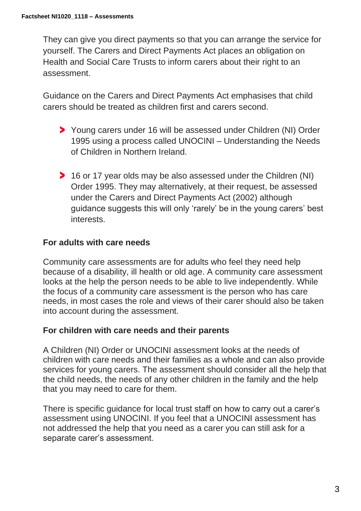They can give you direct payments so that you can arrange the service for yourself. The Carers and Direct Payments Act places an obligation on Health and Social Care Trusts to inform carers about their right to an assessment.

Guidance on the Carers and Direct Payments Act emphasises that child carers should be treated as children first and carers second.

- Young carers under 16 will be assessed under Children (NI) Order 1995 using a process called UNOCINI – Understanding the Needs of Children in Northern Ireland.
- 16 or 17 year olds may be also assessed under the Children (NI) Order 1995. They may alternatively, at their request, be assessed under the Carers and Direct Payments Act (2002) although guidance suggests this will only 'rarely' be in the young carers' best interests.

### **For adults with care needs**

Community care assessments are for adults who feel they need help because of a disability, ill health or old age. A community care assessment looks at the help the person needs to be able to live independently. While the focus of a community care assessment is the person who has care needs, in most cases the role and views of their carer should also be taken into account during the assessment.

#### **For children with care needs and their parents**

A Children (NI) Order or UNOCINI assessment looks at the needs of children with care needs and their families as a whole and can also provide services for young carers. The assessment should consider all the help that the child needs, the needs of any other children in the family and the help that you may need to care for them.

There is specific guidance for local trust staff on how to carry out a carer's assessment using UNOCINI. If you feel that a UNOCINI assessment has not addressed the help that you need as a carer you can still ask for a separate carer's assessment.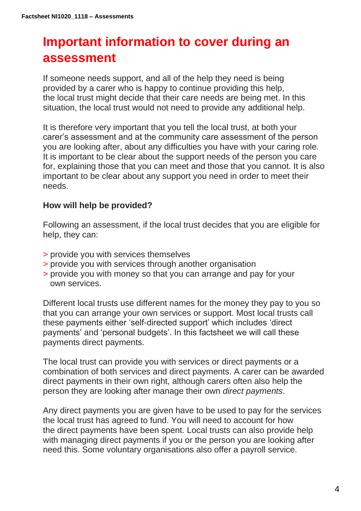# **Important information to cover during an assessment**

If someone needs support, and all of the help they need is being provided by a carer who is happy to continue providing this help, the local trust might decide that their care needs are being met. In this situation, the local trust would not need to provide any additional help.

It is therefore very important that you tell the local trust, at both your carer's assessment and at the community care assessment of the person you are looking after, about any difficulties you have with your caring role. It is important to be clear about the support needs of the person you care for, explaining those that you can meet and those that you cannot. It is also important to be clear about any support you need in order to meet their needs.

### **How will help be provided?**

Following an assessment, if the local trust decides that you are eligible for help, they can:

- > provide you with services themselves
- > provide you with services through another organisation
- > provide you with money so that you can arrange and pay for your own services.

Different local trusts use different names for the money they pay to you so that you can arrange your own services or support. Most local trusts call these payments either 'self-directed support' which includes 'direct payments' and 'personal budgets'. In this factsheet we will call these payments direct payments.

The local trust can provide you with services or direct payments or a combination of both services and direct payments. A carer can be awarded direct payments in their own right, although carers often also help the person they are looking after manage their own *direct payments*.

Any direct payments you are given have to be used to pay for the services the local trust has agreed to fund. You will need to account for how the direct payments have been spent. Local trusts can also provide help with managing direct payments if you or the person you are looking after need this. Some voluntary organisations also offer a payroll service.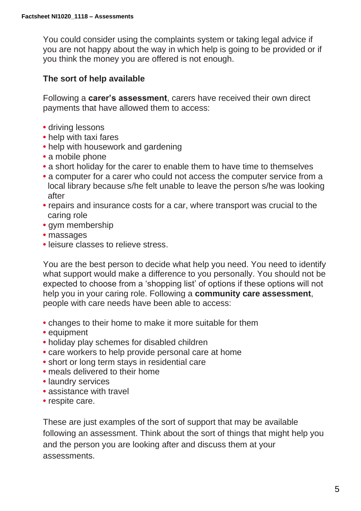You could consider using the complaints system or taking legal advice if you are not happy about the way in which help is going to be provided or if you think the money you are offered is not enough.

### **The sort of help available**

Following a **carer's assessment**, carers have received their own direct payments that have allowed them to access:

- driving lessons
- help with taxi fares
- help with housework and gardening
- a mobile phone
- a short holiday for the carer to enable them to have time to themselves
- a computer for a carer who could not access the computer service from a local library because s/he felt unable to leave the person s/he was looking after
- repairs and insurance costs for a car, where transport was crucial to the caring role
- gym membership
- massages
- leisure classes to relieve stress.

You are the best person to decide what help you need. You need to identify what support would make a difference to you personally. You should not be expected to choose from a 'shopping list' of options if these options will not help you in your caring role. Following a **community care assessment**, people with care needs have been able to access:

- changes to their home to make it more suitable for them
- equipment
- holiday play schemes for disabled children
- care workers to help provide personal care at home
- short or long term stays in residential care
- meals delivered to their home
- laundry services
- assistance with travel
- respite care.

These are just examples of the sort of support that may be available following an assessment. Think about the sort of things that might help you and the person you are looking after and discuss them at your assessments.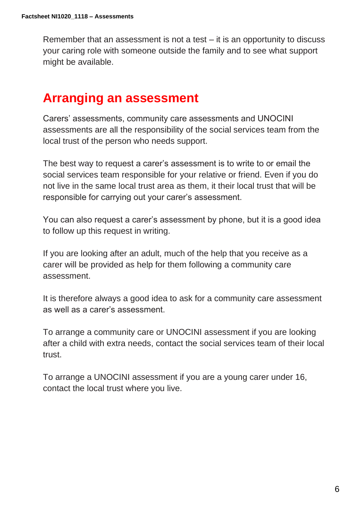Remember that an assessment is not a test – it is an opportunity to discuss your caring role with someone outside the family and to see what support might be available.

### **Arranging an assessment**

Carers' assessments, community care assessments and UNOCINI assessments are all the responsibility of the social services team from the local trust of the person who needs support.

The best way to request a carer's assessment is to write to or email the social services team responsible for your relative or friend. Even if you do not live in the same local trust area as them, it their local trust that will be responsible for carrying out your carer's assessment.

You can also request a carer's assessment by phone, but it is a good idea to follow up this request in writing.

If you are looking after an adult, much of the help that you receive as a carer will be provided as help for them following a community care assessment.

It is therefore always a good idea to ask for a community care assessment as well as a carer's assessment.

To arrange a community care or UNOCINI assessment if you are looking after a child with extra needs, contact the social services team of their local trust.

To arrange a UNOCINI assessment if you are a young carer under 16, contact the local trust where you live.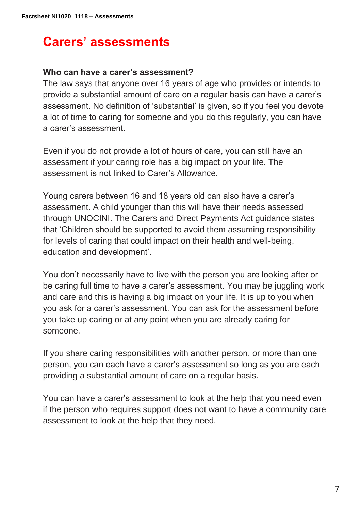# **Carers' assessments**

#### **Who can have a carer's assessment?**

The law says that anyone over 16 years of age who provides or intends to provide a substantial amount of care on a regular basis can have a carer's assessment. No definition of 'substantial' is given, so if you feel you devote a lot of time to caring for someone and you do this regularly, you can have a carer's assessment.

Even if you do not provide a lot of hours of care, you can still have an assessment if your caring role has a big impact on your life. The assessment is not linked to Carer's Allowance.

Young carers between 16 and 18 years old can also have a carer's assessment. A child younger than this will have their needs assessed through UNOCINI. The Carers and Direct Payments Act guidance states that 'Children should be supported to avoid them assuming responsibility for levels of caring that could impact on their health and well-being, education and development'.

You don't necessarily have to live with the person you are looking after or be caring full time to have a carer's assessment. You may be juggling work and care and this is having a big impact on your life. It is up to you when you ask for a carer's assessment. You can ask for the assessment before you take up caring or at any point when you are already caring for someone.

If you share caring responsibilities with another person, or more than one person, you can each have a carer's assessment so long as you are each providing a substantial amount of care on a regular basis.

You can have a carer's assessment to look at the help that you need even if the person who requires support does not want to have a community care assessment to look at the help that they need.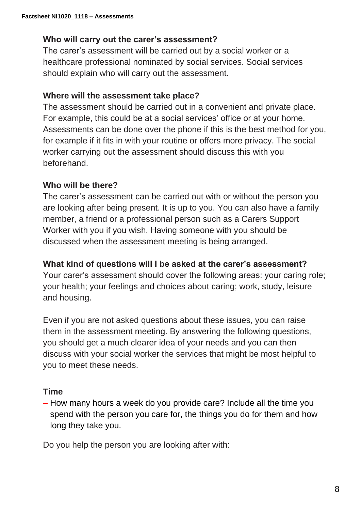### **Who will carry out the carer's assessment?**

The carer's assessment will be carried out by a social worker or a healthcare professional nominated by social services. Social services should explain who will carry out the assessment.

### **Where will the assessment take place?**

The assessment should be carried out in a convenient and private place. For example, this could be at a social services' office or at your home. Assessments can be done over the phone if this is the best method for you, for example if it fits in with your routine or offers more privacy. The social worker carrying out the assessment should discuss this with you beforehand.

### **Who will be there?**

The carer's assessment can be carried out with or without the person you are looking after being present. It is up to you. You can also have a family member, a friend or a professional person such as a Carers Support Worker with you if you wish. Having someone with you should be discussed when the assessment meeting is being arranged.

### **What kind of questions will I be asked at the carer's assessment?**

Your carer's assessment should cover the following areas: your caring role; your health; your feelings and choices about caring; work, study, leisure and housing.

Even if you are not asked questions about these issues, you can raise them in the assessment meeting. By answering the following questions, you should get a much clearer idea of your needs and you can then discuss with your social worker the services that might be most helpful to you to meet these needs.

### **Time**

**–** How many hours a week do you provide care? Include all the time you spend with the person you care for, the things you do for them and how long they take you.

Do you help the person you are looking after with: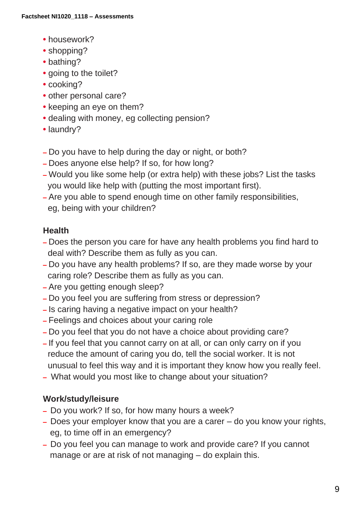- housework?
- shopping?
- bathing?
- going to the toilet?
- cooking?
- other personal care?
- keeping an eye on them?
- dealing with money, eg collecting pension?
- laundry?
- **–** Do you have to help during the day or night, or both?
- **–** Does anyone else help? If so, for how long?
- **–** Would you like some help (or extra help) with these jobs? List the tasks you would like help with (putting the most important first).
- **–** Are you able to spend enough time on other family responsibilities, eg, being with your children?

### **Health**

- **–** Does the person you care for have any health problems you find hard to deal with? Describe them as fully as you can.
- **–** Do you have any health problems? If so, are they made worse by your caring role? Describe them as fully as you can.
- **–** Are you getting enough sleep?
- **–** Do you feel you are suffering from stress or depression?
- **–** Is caring having a negative impact on your health?
- **–** Feelings and choices about your caring role
- **–** Do you feel that you do not have a choice about providing care?
- **–** If you feel that you cannot carry on at all, or can only carry on if you reduce the amount of caring you do, tell the social worker. It is not unusual to feel this way and it is important they know how you really feel.
- **–** What would you most like to change about your situation?

### **Work/study/leisure**

- Do you work? If so, for how many hours a week?
- Does your employer know that you are a carer do you know your rights, eg, to time off in an emergency?
- Do you feel you can manage to work and provide care? If you cannot manage or are at risk of not managing – do explain this.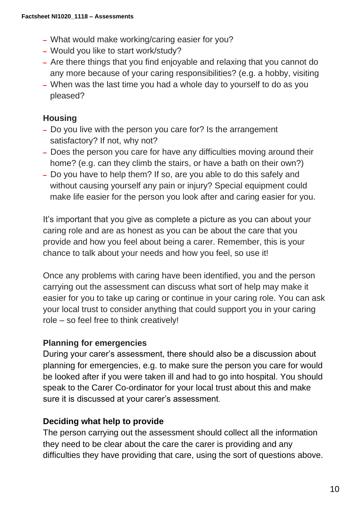- What would make working/caring easier for you?
- Would you like to start work/study?
- Are there things that you find enjoyable and relaxing that you cannot do any more because of your caring responsibilities? (e.g. a hobby, visiting
- When was the last time you had a whole day to yourself to do as you pleased?

### **Housing**

- Do you live with the person you care for? Is the arrangement satisfactory? If not, why not?
- Does the person you care for have any difficulties moving around their home? (e.g. can they climb the stairs, or have a bath on their own?)
- Do you have to help them? If so, are you able to do this safely and without causing yourself any pain or injury? Special equipment could make life easier for the person you look after and caring easier for you.

It's important that you give as complete a picture as you can about your caring role and are as honest as you can be about the care that you provide and how you feel about being a carer. Remember, this is your chance to talk about your needs and how you feel, so use it!

Once any problems with caring have been identified, you and the person carrying out the assessment can discuss what sort of help may make it easier for you to take up caring or continue in your caring role. You can ask your local trust to consider anything that could support you in your caring role – so feel free to think creatively!

### **Planning for emergencies**

During your carer's assessment, there should also be a discussion about planning for emergencies, e.g. to make sure the person you care for would be looked after if you were taken ill and had to go into hospital. You should speak to the Carer Co-ordinator for your local trust about this and make sure it is discussed at your carer's assessment.

### **Deciding what help to provide**

The person carrying out the assessment should collect all the information they need to be clear about the care the carer is providing and any difficulties they have providing that care, using the sort of questions above.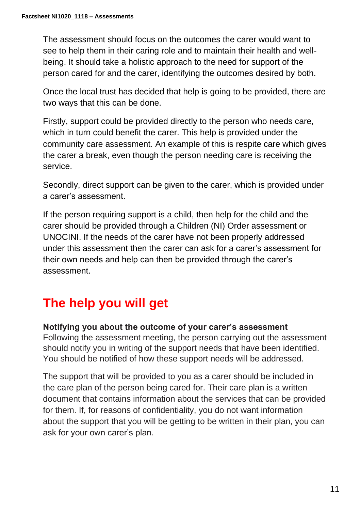The assessment should focus on the outcomes the carer would want to see to help them in their caring role and to maintain their health and wellbeing. It should take a holistic approach to the need for support of the person cared for and the carer, identifying the outcomes desired by both.

Once the local trust has decided that help is going to be provided, there are two ways that this can be done.

Firstly, support could be provided directly to the person who needs care, which in turn could benefit the carer. This help is provided under the community care assessment. An example of this is respite care which gives the carer a break, even though the person needing care is receiving the service.

Secondly, direct support can be given to the carer, which is provided under a carer's assessment.

If the person requiring support is a child, then help for the child and the carer should be provided through a Children (NI) Order assessment or UNOCINI. If the needs of the carer have not been properly addressed under this assessment then the carer can ask for a carer's assessment for their own needs and help can then be provided through the carer's assessment.

# **The help you will get**

### **Notifying you about the outcome of your carer's assessment**

Following the assessment meeting, the person carrying out the assessment should notify you in writing of the support needs that have been identified. You should be notified of how these support needs will be addressed.

The support that will be provided to you as a carer should be included in the care plan of the person being cared for. Their care plan is a written document that contains information about the services that can be provided for them. If, for reasons of confidentiality, you do not want information about the support that you will be getting to be written in their plan, you can ask for your own carer's plan.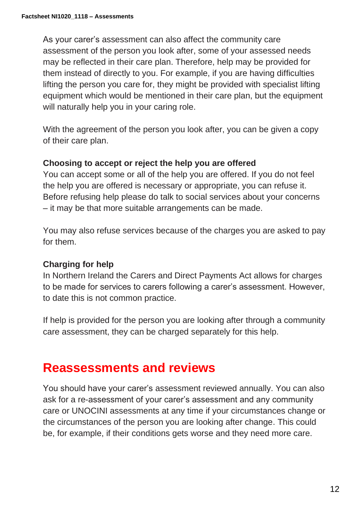As your carer's assessment can also affect the community care assessment of the person you look after, some of your assessed needs may be reflected in their care plan. Therefore, help may be provided for them instead of directly to you. For example, if you are having difficulties lifting the person you care for, they might be provided with specialist lifting equipment which would be mentioned in their care plan, but the equipment will naturally help you in your caring role.

With the agreement of the person you look after, you can be given a copy of their care plan.

### **Choosing to accept or reject the help you are offered**

You can accept some or all of the help you are offered. If you do not feel the help you are offered is necessary or appropriate, you can refuse it. Before refusing help please do talk to social services about your concerns – it may be that more suitable arrangements can be made.

You may also refuse services because of the charges you are asked to pay for them.

### **Charging for help**

In Northern Ireland the Carers and Direct Payments Act allows for charges to be made for services to carers following a carer's assessment. However, to date this is not common practice.

If help is provided for the person you are looking after through a community care assessment, they can be charged separately for this help.

### **Reassessments and reviews**

You should have your carer's assessment reviewed annually. You can also ask for a re-assessment of your carer's assessment and any community care or UNOCINI assessments at any time if your circumstances change or the circumstances of the person you are looking after change. This could be, for example, if their conditions gets worse and they need more care.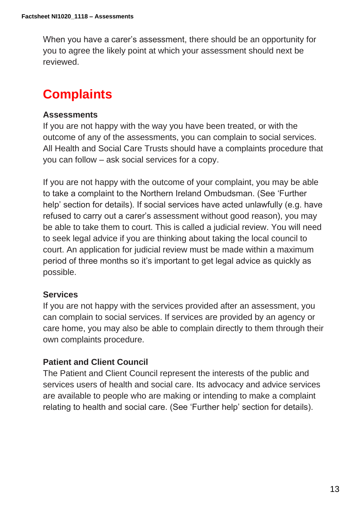When you have a carer's assessment, there should be an opportunity for you to agree the likely point at which your assessment should next be reviewed.

# **Complaints**

### **Assessments**

If you are not happy with the way you have been treated, or with the outcome of any of the assessments, you can complain to social services. All Health and Social Care Trusts should have a complaints procedure that you can follow – ask social services for a copy.

If you are not happy with the outcome of your complaint, you may be able to take a complaint to the Northern Ireland Ombudsman. (See 'Further help' section for details). If social services have acted unlawfully (e.g. have refused to carry out a carer's assessment without good reason), you may be able to take them to court. This is called a judicial review. You will need to seek legal advice if you are thinking about taking the local council to court. An application for judicial review must be made within a maximum period of three months so it's important to get legal advice as quickly as possible.

### **Services**

If you are not happy with the services provided after an assessment, you can complain to social services. If services are provided by an agency or care home, you may also be able to complain directly to them through their own complaints procedure.

### **Patient and Client Council**

The Patient and Client Council represent the interests of the public and services users of health and social care. Its advocacy and advice services are available to people who are making or intending to make a complaint relating to health and social care. (See 'Further help' section for details).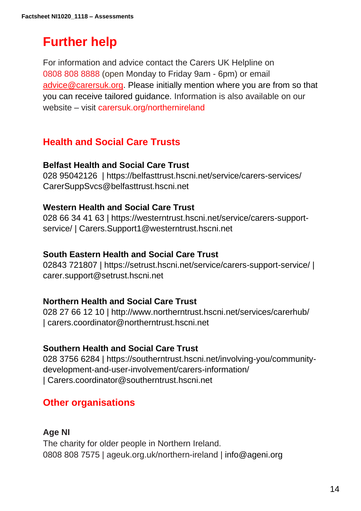# **Further help**

For information and advice contact the Carers UK Helpline on 0808 808 8888 (open Monday to Friday 9am - 6pm) or email [advice@carersuk.org.](mailto:advice@carersuk.org) Please initially mention where you are from so that you can receive tailored guidance. Information is also available on our website – visit [carersuk.org/northernireland](https://www.carersuk.org/northernireland)

### **Health and Social Care Trusts**

### **Belfast Health and Social Care Trust**

028 95042126 |<https://belfasttrust.hscni.net/service/carers-services/> [CarerSuppSvcs@belfasttrust.hscni.net](mailto:CarerSuppSvcs@belfasttrust.hscni.net)

### **Western Health and Social Care Trust**

028 66 34 41 63 | [https://westerntrust.hscni.net/service/carers-support](https://westerntrust.hscni.net/service/carers-support-service/)[service/](https://westerntrust.hscni.net/service/carers-support-service/) | [Carers.Support1@westerntrust.hscni.net](mailto:Carers.Support1@westerntrust.hscni.net)

### **South Eastern Health and Social Care Trust**

02843 721807 | <https://setrust.hscni.net/service/carers-support-service/> | [carer.support@setrust.hscni.net](mailto:carer.support@setrust.hscni.net)

### **Northern Health and Social Care Trust**

028 27 66 12 10 | <http://www.northerntrust.hscni.net/services/carerhub/> | [carers.coordinator@northerntrust.hscni.net](mailto:carers.coordinator@northerntrust.hscni.net)

### **Southern Health and Social Care Trust**

028 3756 6284 | [https://southerntrust.hscni.net/involving-you/community](https://southerntrust.hscni.net/involving-you/community-development-and-user-involvement/carers-information/)[development-and-user-involvement/carers-information/](https://southerntrust.hscni.net/involving-you/community-development-and-user-involvement/carers-information/) | [Carers.coordinator@southerntrust.hscni.net](mailto:Carers.coordinator@southerntrust.hscni.net)

### **Other organisations**

### **Age NI**

The charity for older people in Northern Ireland. 0808 808 7575 | ageuk.org.uk/northern-ireland | info@ageni.org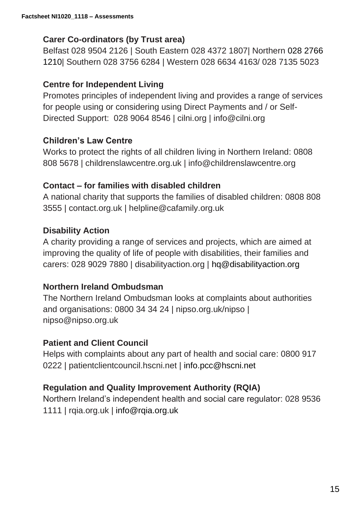### **Carer Co-ordinators (by Trust area)**

Belfast 028 9504 2126 | South Eastern 028 4372 1807| Northern 028 2766 1210| Southern 028 3756 6284 | Western 028 6634 4163/ 028 7135 5023

### **Centre for Independent Living**

Promotes principles of independent living and provides a range of services for people using or considering using Direct Payments and / or Self-Directed Support: 028 9064 8546 | cilni.org | info@cilni.org

### **Children's Law Centre**

Works to protect the rights of all children living in Northern Ireland: 0808 808 5678 | childrenslawcentre.org.uk | info@childrenslawcentre.org

### **Contact – for families with disabled children**

A national charity that supports the families of disabled children: 0808 808 3555 | contact.org.uk | helpline@cafamily.org.uk

### **Disability Action**

A charity providing a range of services and projects, which are aimed at improving the quality of life of people with disabilities, their families and carers: 028 9029 7880 | disabilityaction.org | hq@disabilityaction.org

### **Northern Ireland Ombudsman**

The Northern Ireland Ombudsman looks at complaints about authorities and organisations: 0800 34 34 24 | nipso.org.uk/nipso | nipso@nipso.org.uk

### **Patient and Client Council**

Helps with complaints about any part of health and social care: 0800 917 0222 | patientclientcouncil.hscni.net | [info.pcc@hscni.net](mailto:info.pcc@hscni.net)

### **Regulation and Quality Improvement Authority (RQIA)**

Northern Ireland's independent health and social care regulator: 028 9536 1111 | rqia.org.uk | info@rqia.org.uk